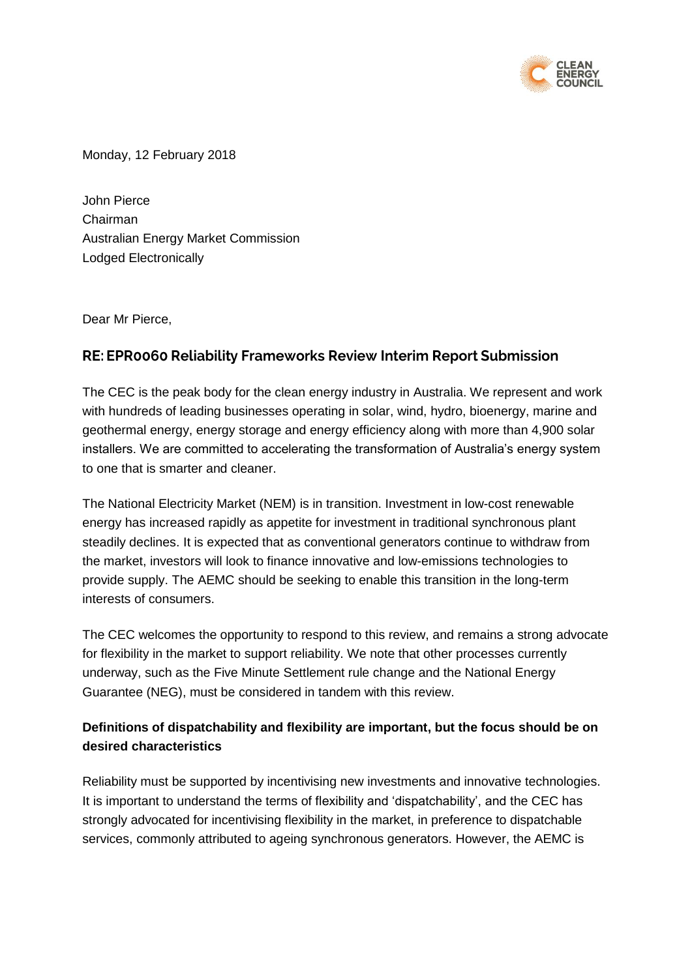

Monday, 12 February 2018

John Pierce Chairman Australian Energy Market Commission Lodged Electronically

Dear Mr Pierce,

# RE: EPR0060 Reliability Frameworks Review Interim Report Submission

The CEC is the peak body for the clean energy industry in Australia. We represent and work with hundreds of leading businesses operating in solar, wind, hydro, bioenergy, marine and geothermal energy, energy storage and energy efficiency along with more than 4,900 solar installers. We are committed to accelerating the transformation of Australia's energy system to one that is smarter and cleaner.

The National Electricity Market (NEM) is in transition. Investment in low-cost renewable energy has increased rapidly as appetite for investment in traditional synchronous plant steadily declines. It is expected that as conventional generators continue to withdraw from the market, investors will look to finance innovative and low-emissions technologies to provide supply. The AEMC should be seeking to enable this transition in the long-term interests of consumers.

The CEC welcomes the opportunity to respond to this review, and remains a strong advocate for flexibility in the market to support reliability. We note that other processes currently underway, such as the Five Minute Settlement rule change and the National Energy Guarantee (NEG), must be considered in tandem with this review.

## **Definitions of dispatchability and flexibility are important, but the focus should be on desired characteristics**

Reliability must be supported by incentivising new investments and innovative technologies. It is important to understand the terms of flexibility and 'dispatchability', and the CEC has strongly advocated for incentivising flexibility in the market, in preference to dispatchable services, commonly attributed to ageing synchronous generators. However, the AEMC is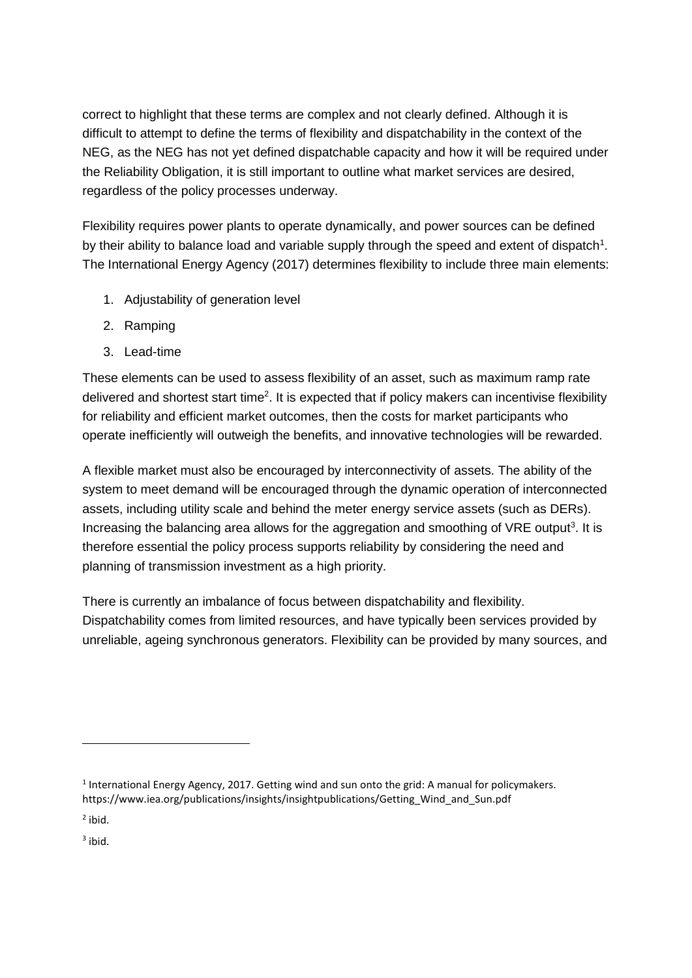correct to highlight that these terms are complex and not clearly defined. Although it is difficult to attempt to define the terms of flexibility and dispatchability in the context of the NEG, as the NEG has not yet defined dispatchable capacity and how it will be required under the Reliability Obligation, it is still important to outline what market services are desired, regardless of the policy processes underway.

Flexibility requires power plants to operate dynamically, and power sources can be defined by their ability to balance load and variable supply through the speed and extent of dispatch<sup>1</sup>. The International Energy Agency (2017) determines flexibility to include three main elements:

- 1. Adjustability of generation level
- 2. Ramping
- 3. Lead-time

These elements can be used to assess flexibility of an asset, such as maximum ramp rate delivered and shortest start time<sup>2</sup>. It is expected that if policy makers can incentivise flexibility for reliability and efficient market outcomes, then the costs for market participants who operate inefficiently will outweigh the benefits, and innovative technologies will be rewarded.

A flexible market must also be encouraged by interconnectivity of assets. The ability of the system to meet demand will be encouraged through the dynamic operation of interconnected assets, including utility scale and behind the meter energy service assets (such as DERs). Increasing the balancing area allows for the aggregation and smoothing of VRE output<sup>3</sup>. It is therefore essential the policy process supports reliability by considering the need and planning of transmission investment as a high priority.

There is currently an imbalance of focus between dispatchability and flexibility. Dispatchability comes from limited resources, and have typically been services provided by unreliable, ageing synchronous generators. Flexibility can be provided by many sources, and

 $<sup>1</sup>$  International Energy Agency, 2017. Getting wind and sun onto the grid: A manual for policymakers.</sup> https://www.iea.org/publications/insights/insightpublications/Getting\_Wind\_and\_Sun.pdf

<sup>&</sup>lt;sup>2</sup> ibid.

 $3$  ibid.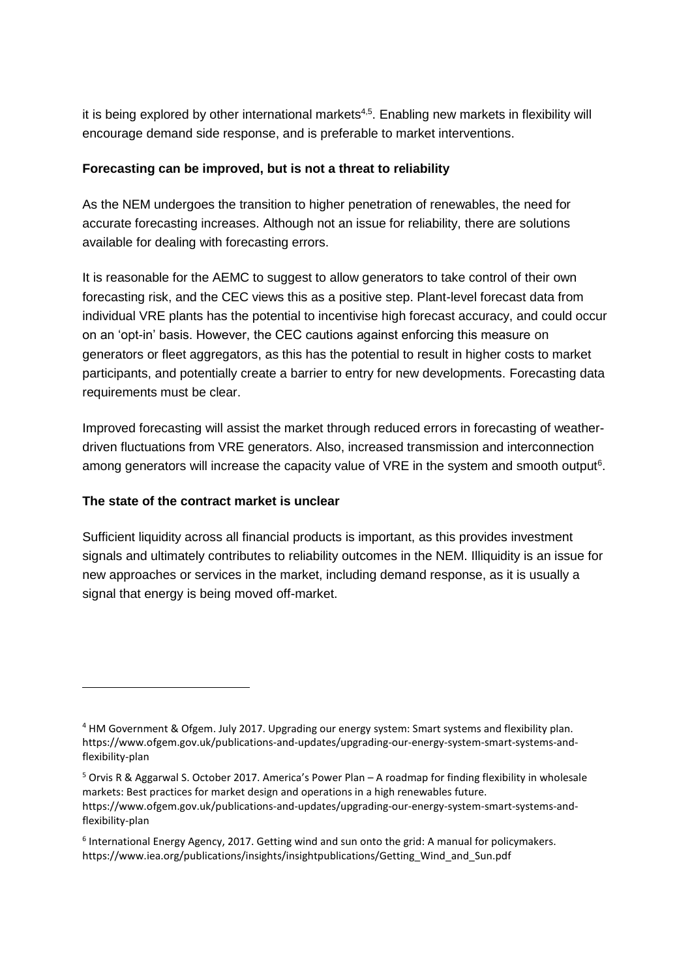it is being explored by other international markets<sup>4,5</sup>. Enabling new markets in flexibility will encourage demand side response, and is preferable to market interventions.

### **Forecasting can be improved, but is not a threat to reliability**

As the NEM undergoes the transition to higher penetration of renewables, the need for accurate forecasting increases. Although not an issue for reliability, there are solutions available for dealing with forecasting errors.

It is reasonable for the AEMC to suggest to allow generators to take control of their own forecasting risk, and the CEC views this as a positive step. Plant-level forecast data from individual VRE plants has the potential to incentivise high forecast accuracy, and could occur on an 'opt-in' basis. However, the CEC cautions against enforcing this measure on generators or fleet aggregators, as this has the potential to result in higher costs to market participants, and potentially create a barrier to entry for new developments. Forecasting data requirements must be clear.

Improved forecasting will assist the market through reduced errors in forecasting of weatherdriven fluctuations from VRE generators. Also, increased transmission and interconnection among generators will increase the capacity value of VRE in the system and smooth output<sup>6</sup>.

#### **The state of the contract market is unclear**

Sufficient liquidity across all financial products is important, as this provides investment signals and ultimately contributes to reliability outcomes in the NEM. Illiquidity is an issue for new approaches or services in the market, including demand response, as it is usually a signal that energy is being moved off-market.

<sup>&</sup>lt;sup>4</sup> HM Government & Ofgem. July 2017. Upgrading our energy system: Smart systems and flexibility plan. https://www.ofgem.gov.uk/publications-and-updates/upgrading-our-energy-system-smart-systems-andflexibility-plan

<sup>5</sup> Orvis R & Aggarwal S. October 2017. America's Power Plan – A roadmap for finding flexibility in wholesale markets: Best practices for market design and operations in a high renewables future. https://www.ofgem.gov.uk/publications-and-updates/upgrading-our-energy-system-smart-systems-andflexibility-plan

<sup>&</sup>lt;sup>6</sup> International Energy Agency, 2017. Getting wind and sun onto the grid: A manual for policymakers. https://www.iea.org/publications/insights/insightpublications/Getting\_Wind\_and\_Sun.pdf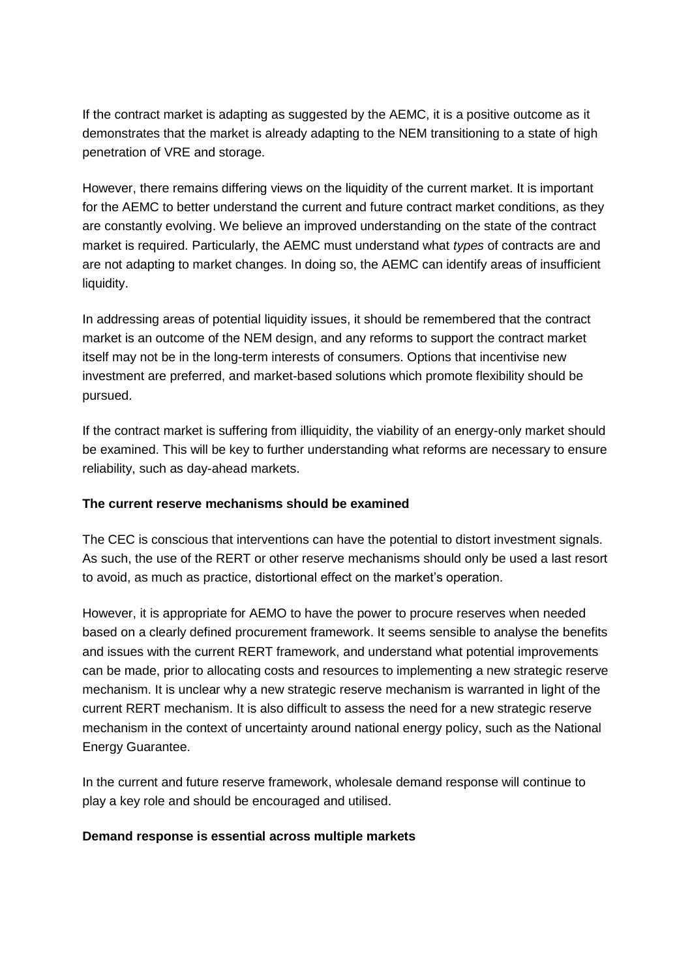If the contract market is adapting as suggested by the AEMC, it is a positive outcome as it demonstrates that the market is already adapting to the NEM transitioning to a state of high penetration of VRE and storage.

However, there remains differing views on the liquidity of the current market. It is important for the AEMC to better understand the current and future contract market conditions, as they are constantly evolving. We believe an improved understanding on the state of the contract market is required. Particularly, the AEMC must understand what *types* of contracts are and are not adapting to market changes. In doing so, the AEMC can identify areas of insufficient liquidity.

In addressing areas of potential liquidity issues, it should be remembered that the contract market is an outcome of the NEM design, and any reforms to support the contract market itself may not be in the long-term interests of consumers. Options that incentivise new investment are preferred, and market-based solutions which promote flexibility should be pursued.

If the contract market is suffering from illiquidity, the viability of an energy-only market should be examined. This will be key to further understanding what reforms are necessary to ensure reliability, such as day-ahead markets.

#### **The current reserve mechanisms should be examined**

The CEC is conscious that interventions can have the potential to distort investment signals. As such, the use of the RERT or other reserve mechanisms should only be used a last resort to avoid, as much as practice, distortional effect on the market's operation.

However, it is appropriate for AEMO to have the power to procure reserves when needed based on a clearly defined procurement framework. It seems sensible to analyse the benefits and issues with the current RERT framework, and understand what potential improvements can be made, prior to allocating costs and resources to implementing a new strategic reserve mechanism. It is unclear why a new strategic reserve mechanism is warranted in light of the current RERT mechanism. It is also difficult to assess the need for a new strategic reserve mechanism in the context of uncertainty around national energy policy, such as the National Energy Guarantee.

In the current and future reserve framework, wholesale demand response will continue to play a key role and should be encouraged and utilised.

#### **Demand response is essential across multiple markets**